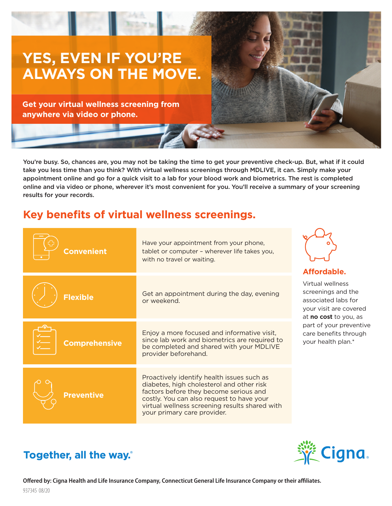

You're busy. So, chances are, you may not be taking the time to get your preventive check-up. But, what if it could take you less time than you think? With virtual wellness screenings through MDLIVE, it can. Simply make your appointment online and go for a quick visit to a lab for your blood work and biometrics. The rest is completed online and via video or phone, wherever it's most convenient for you. You'll receive a summary of your screening results for your records.

# **Key benefits of virtual wellness screenings.**

| <b>Convenient</b>    | Have your appointment from your phone,<br>tablet or computer - wherever life takes you,<br>with no travel or waiting.                                                                                                                                           | Affordable.                                                                                                                                                                                       |
|----------------------|-----------------------------------------------------------------------------------------------------------------------------------------------------------------------------------------------------------------------------------------------------------------|---------------------------------------------------------------------------------------------------------------------------------------------------------------------------------------------------|
| <b>Flexible</b>      | Get an appointment during the day, evening<br>or weekend.                                                                                                                                                                                                       | Virtual wellness<br>screenings and the<br>associated labs for<br>your visit are covered<br>at <b>no cost</b> to you, as<br>part of your preventive<br>care benefits through<br>your health plan.* |
| <b>Comprehensive</b> | Enjoy a more focused and informative visit,<br>since lab work and biometrics are required to<br>be completed and shared with your MDLIVE<br>provider beforehand.                                                                                                |                                                                                                                                                                                                   |
| <b>Preventive</b>    | Proactively identify health issues such as<br>diabetes, high cholesterol and other risk<br>factors before they become serious and<br>costly. You can also request to have your<br>virtual wellness screening results shared with<br>your primary care provider. |                                                                                                                                                                                                   |





**Offered by: Cigna Health and Life Insurance Company, Connecticut General Life Insurance Company or their affiliates.**  937345 08/20